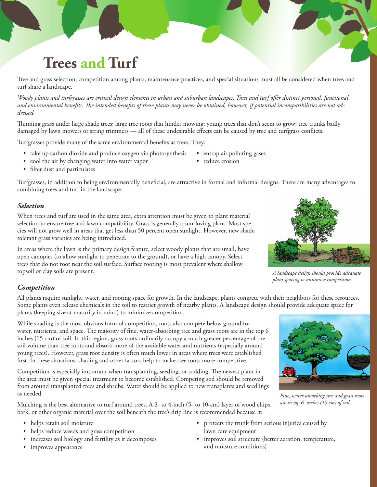# **Trees and Turf**

Tree and grass selection, competition among plants, maintenance practices, and special situations must all be considered when trees and turf share a landscape.

*Woody plants and turfgrasses are critical design elements in urban and suburban landscapes. Trees and turf offer distinct personal, functional, and environmental benefits. The intended benefits of these plants may never be obtained, however, if potential incompatibilities are not addressed.*

Thinning grass under large shade trees; large tree roots that hinder mowing; young trees that don't seem to grow; tree trunks badly damaged by lawn mowers or string trimmers — all of these undesirable effects can be caused by tree and turfgrass conflicts.

Turfgrasses provide many of the same environmental benefits as trees. They:

- take up carbon dioxide and produce oxygen via photosynthesis
- cool the air by changing water into water vapor
- entrap air polluting gases
- reduce erosion

• filter dust and particulates

Turfgrasses, in addition to being environmentally beneficial, are attractive in formal and informal designs. There are many advantages to combining trees and turf in the landscape.

### *Selection*

When trees and turf are used in the same area, extra attention must be given to plant material selection to ensure tree and lawn compatibility. Grass is generally a sun-loving plant. Most species will not grow well in areas that get less than 50 percent open sunlight. However, new shade tolerant grass varieties are being introduced.

In areas where the lawn is the primary design feature, select woody plants that are small, have open canopies (to allow sunlight to penetrate to the ground), or have a high canopy. Select trees that do not root near the soil surface. Surface rooting is most prevalent where shallow topsoil or clay soils are present.



*A landscape design should provide adequate plant spacing to minimize competition.*

*Fine, water-absorbing tree and grass roots are in top 6 inches (15 cm) of soil.*

## *Competition*

All plants require sunlight, water, and rooting space for growth. In the landscape, plants compete with their neighbors for these resources. Some plants even release chemicals in the soil to restrict growth of nearby plants. A landscape design should provide adequate space for plants (keeping size at maturity in mind) to minimize competition.

While shading is the most obvious form of competition, roots also compete below ground for water, nutrients, and space. The majority of fine, water-absorbing tree and grass roots are in the top 6 inches (15 cm) of soil. In this region, grass roots ordinarily occupy a much greater percentage of the soil volume than tree roots and absorb more of the available water and nutrients (especially around young trees). However, grass root density is often much lower in areas where trees were established first. In these situations, shading and other factors help to make tree roots more competitive.

Competition is especially important when transplanting, seeding, or sodding. The newest plant in the area must be given special treatment to become established. Competing sod should be removed from around transplanted trees and shrubs. Water should be applied to new transplants and seedlings as needed.

Mulching is the best alternative to turf around trees. A 2- to 4-inch (5- to 10-cm) layer of wood chips, bark, or other organic material over the soil beneath the tree's drip line is recommended because it:

- • helps retain soil moisture
- helps reduce weeds and grass competition
- increases soil biology and fertility as it decomposes
- improves appearance
- • protects the trunk from serious injuries caused by lawn care equipment
- • improves soil structure (better aeration, temperature, and moisture conditions)